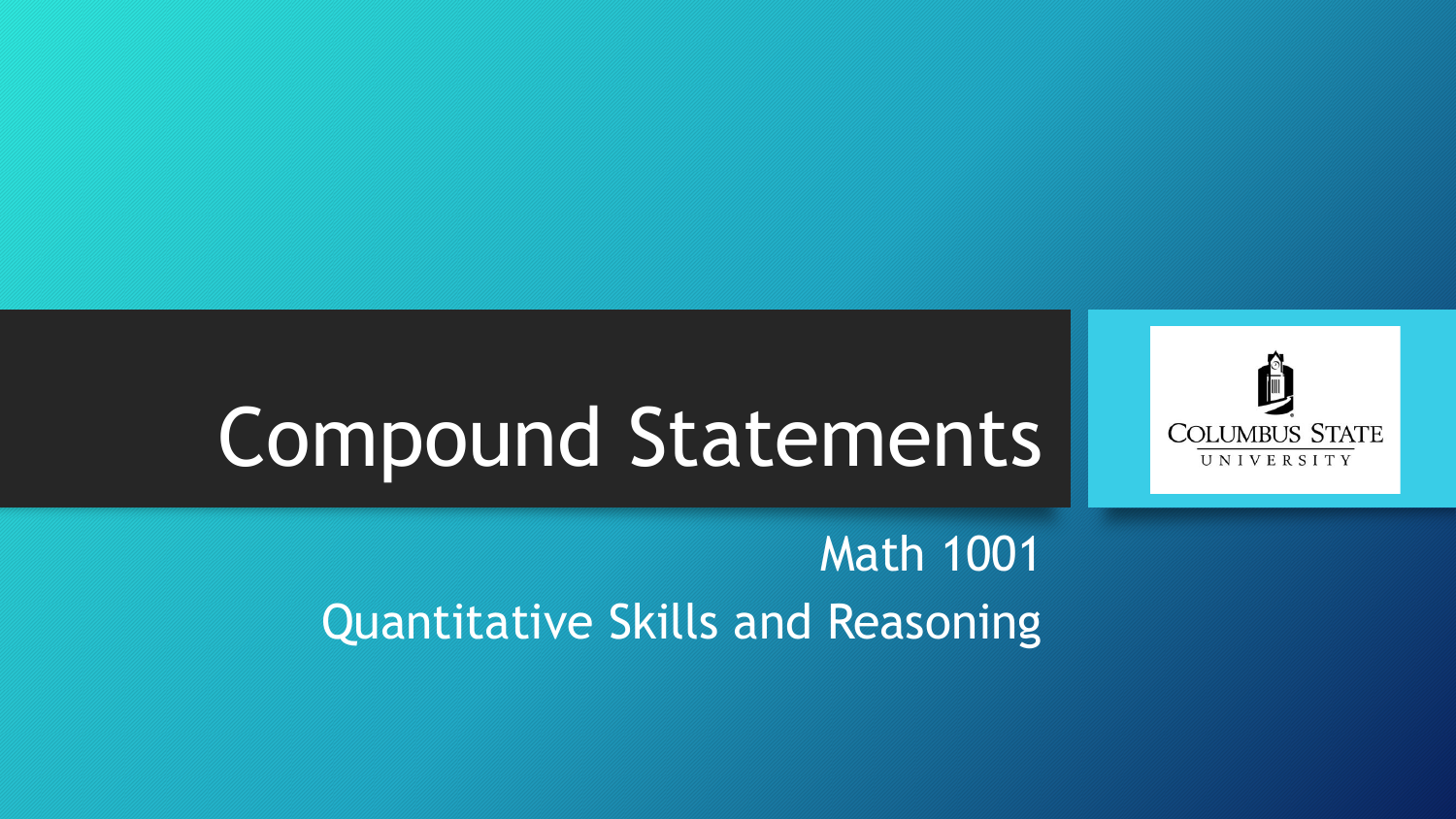

# Compound Statements

#### Math 1001 Quantitative Skills and Reasoning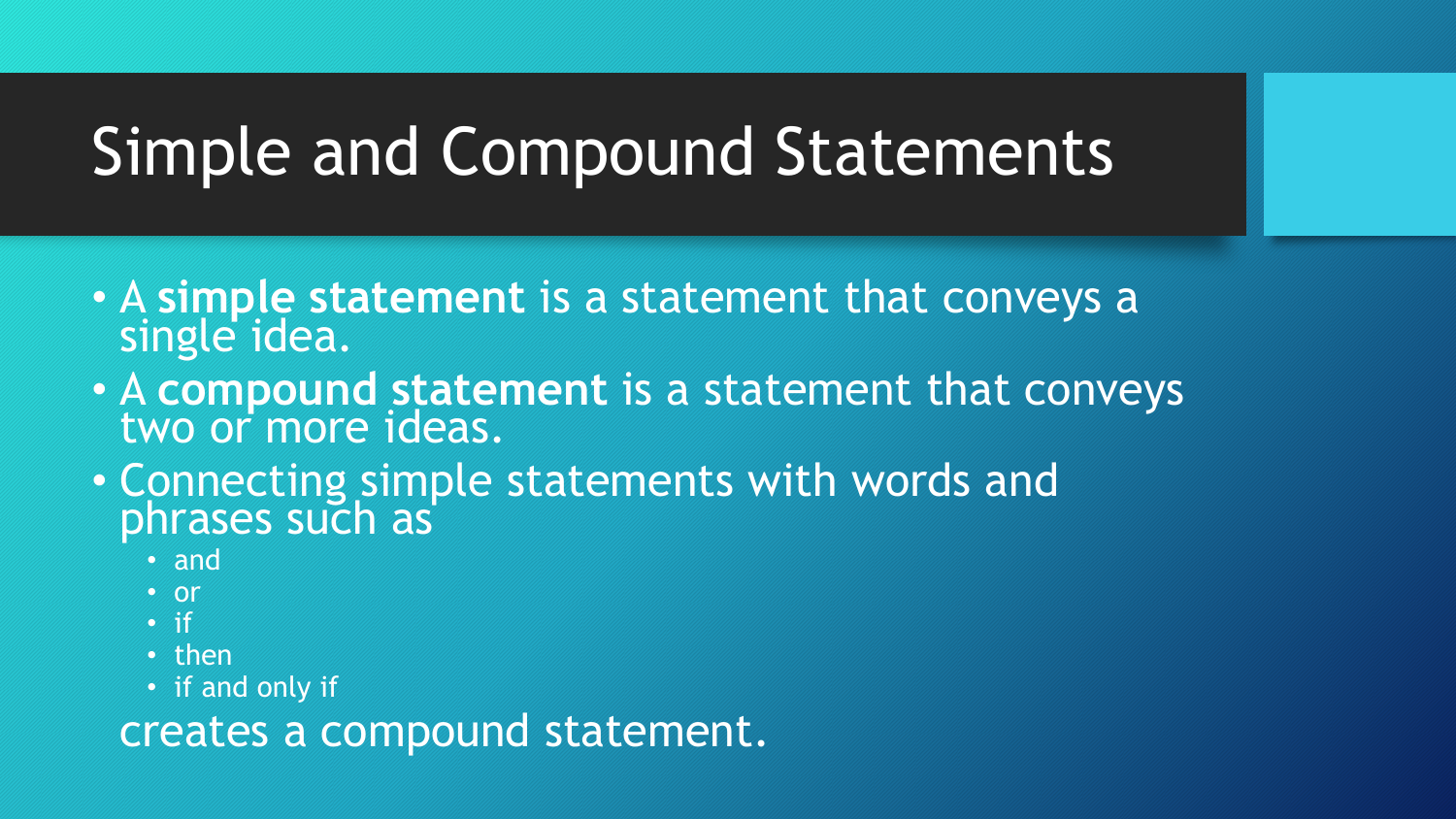## Simple and Compound Statements

- A **simple statement** is a statement that conveys a single idea.
- A **compound statement** is a statement that conveys two or more ideas.
- Connecting simple statements with words and phrases such as
	- and
	- or
	- if
	- then
	- if and only if

creates a compound statement.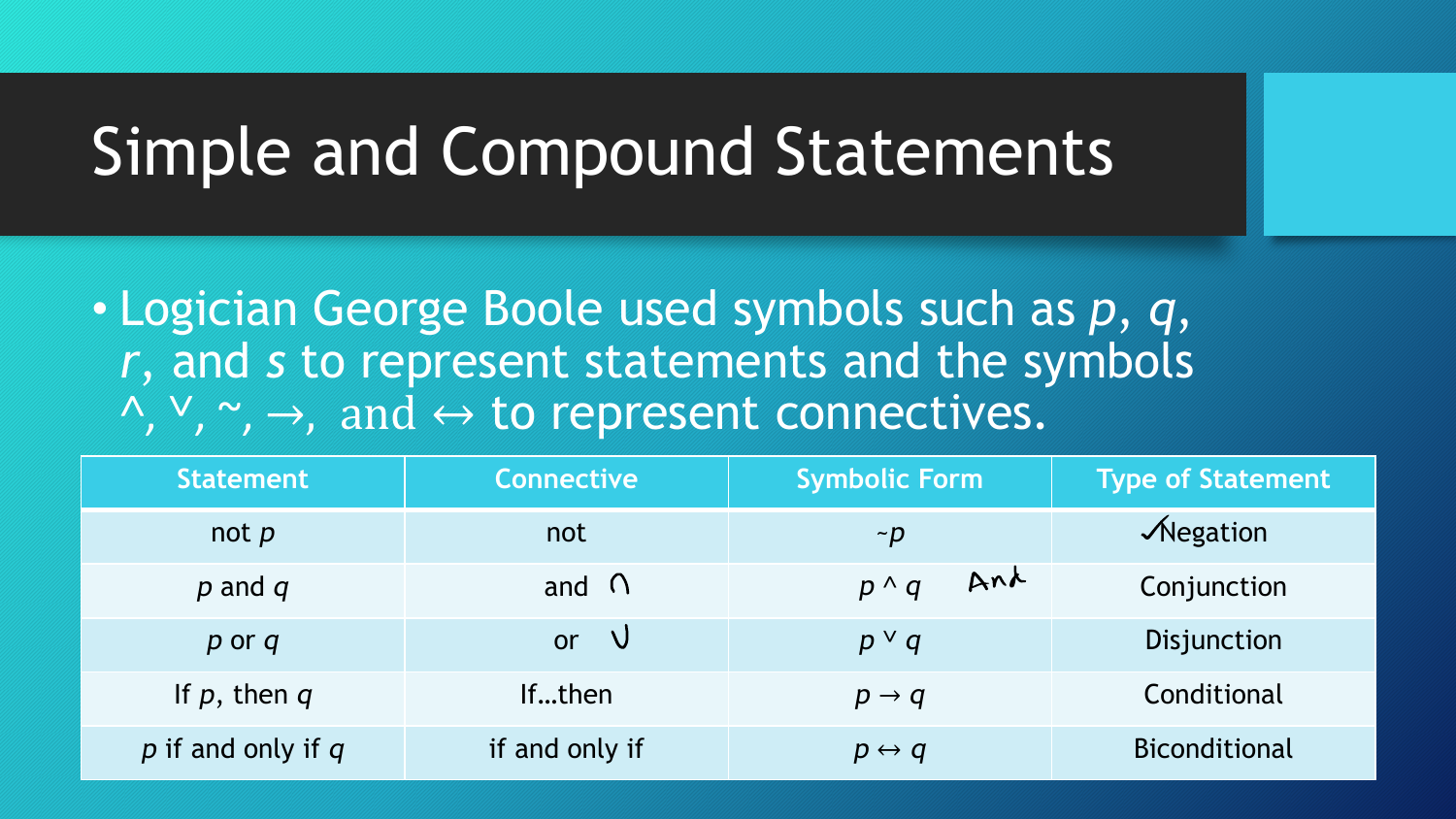### Simple and Compound Statements

• Logician George Boole used symbols such as *p*, *q*, *r*, and *s* to represent statements and the symbols  $\wedge$ ,  $\vee$ ,  $\rightarrow$ , and  $\leftrightarrow$  to represent connectives.

| <b>Statement</b>       | <b>Connective</b> | <b>Symbolic Form</b>  | <b>Type of Statement</b> |
|------------------------|-------------------|-----------------------|--------------------------|
| not $p$                | not               | $\neg p$              | $\sqrt{N}$ egation       |
| $p$ and $q$            | and $\bigcap$     | Ana<br>$p \wedge q$   | Conjunction              |
| $p$ or $q$             | - V<br><b>or</b>  | $p \vee q$            | Disjunction              |
| If $p$ , then $q$      | Ifthen            | $p \rightarrow q$     | Conditional              |
| $p$ if and only if $q$ | if and only if    | $p \leftrightarrow q$ | <b>Biconditional</b>     |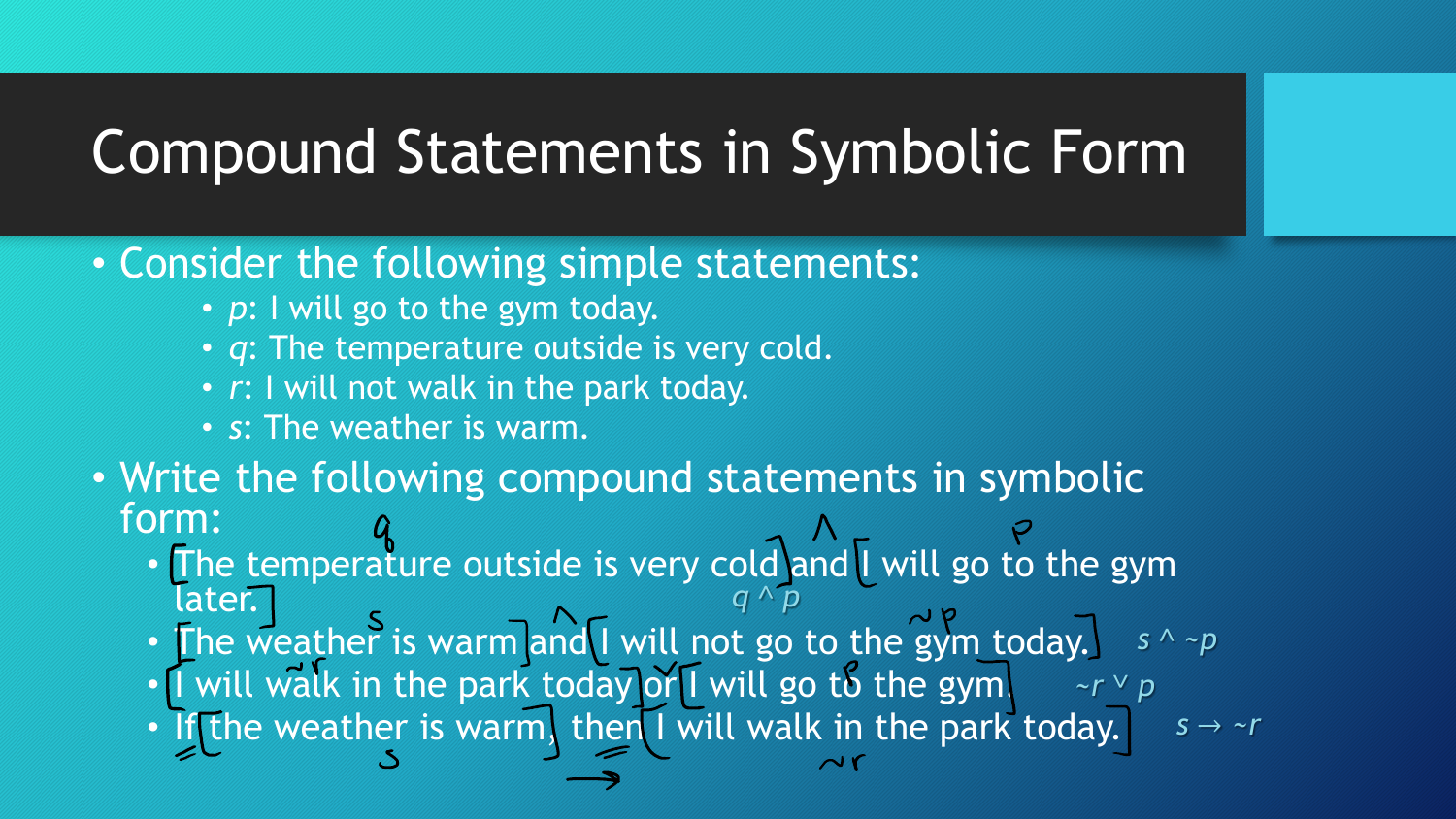#### Compound Statements in Symbolic Form

#### • Consider the following simple statements:

- *p*: I will go to the gym today.
- *q*: The temperature outside is very cold.
- *r*: I will not walk in the park today.
- *s*: The weather is warm.
- Write the following compound statements in symbolic form:
	- The temperature outside is very cold and I will go to the gym later. *q* ˄ *p*
	- The weather is warm and I will not go to the gym today. *s* ˄ *~p ~r* ˅ *p*
	- I will walk in the park today or I will go to the gym.
	- If the weather is warm, then I will walk in the park today.  $s \rightarrow \neg r$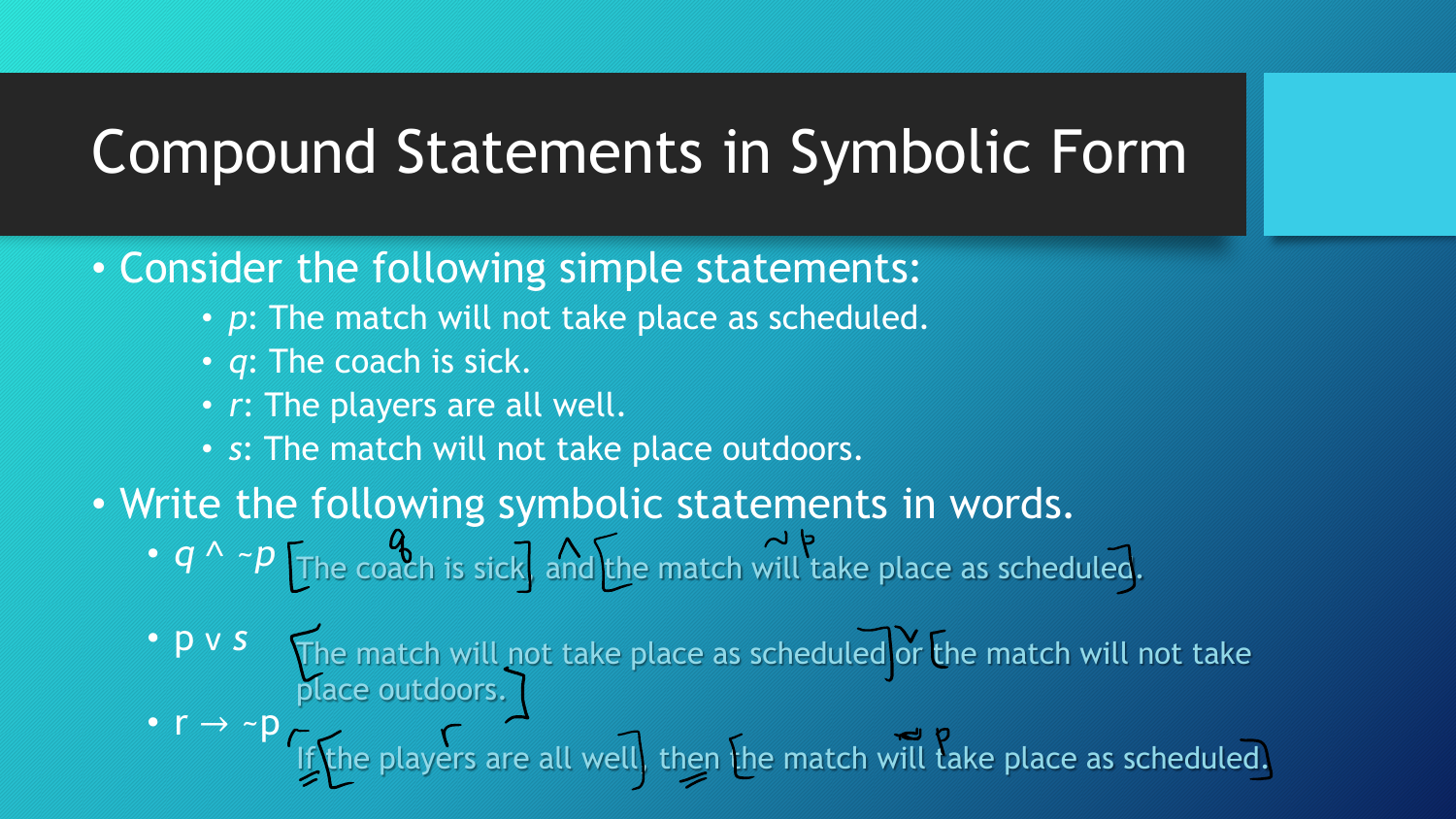#### Compound Statements in Symbolic Form

- Consider the following simple statements:
	- *p*: The match will not take place as scheduled.
	- *q*: The coach is sick.
	- *r*: The players are all well.
	- *s*: The match will not take place outdoors.
- Write the following symbolic statements in words. • *q* ^ *~p*  $\lceil \frac{a}{\text{The coach}} \rceil$  and the match will take place as scheduled.
	- p v *s* The match will not take place as scheduled or the match will not take place outdoors.
	- $r \rightarrow \neg p$ If the players are all well, then the match will take place as scheduled.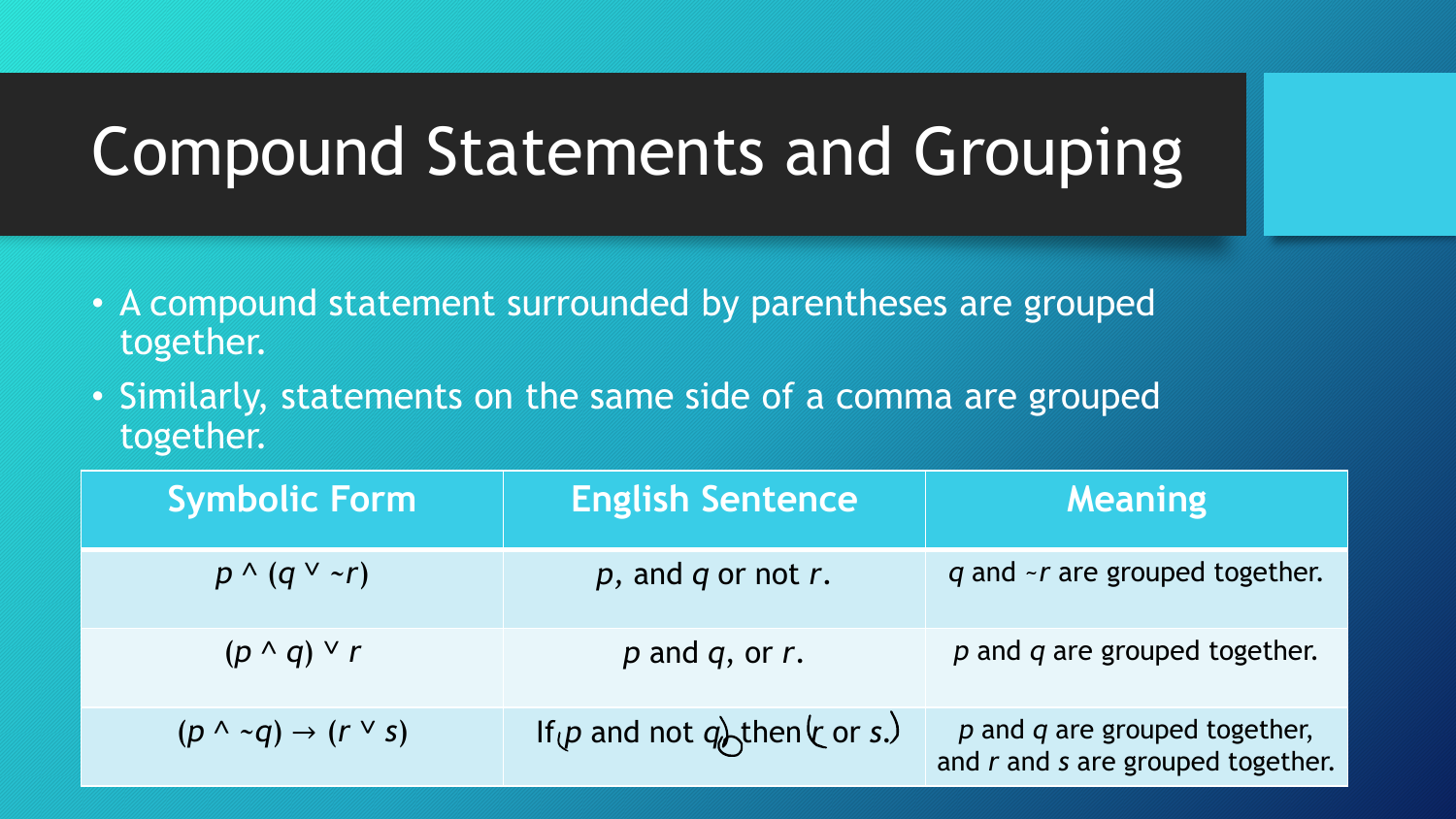## Compound Statements and Grouping

- A compound statement surrounded by parentheses are grouped together.
- Similarly, statements on the same side of a comma are grouped together.

| <b>Symbolic Form</b>                       | <b>English Sentence</b>           | <b>Meaning</b>                                                             |
|--------------------------------------------|-----------------------------------|----------------------------------------------------------------------------|
| $p \wedge (q \vee \neg r)$                 | $p$ , and $q$ or not $r$ .        | q and ~r are grouped together.                                             |
| $(p \wedge q) \vee r$                      | $p$ and $q$ , or $r$ .            | $p$ and $q$ are grouped together.                                          |
| $(p \wedge \neg q) \rightarrow (r \vee s)$ | If $(p$ and not $q$ then $(r s.)$ | $p$ and $q$ are grouped together,<br>and $r$ and $s$ are grouped together. |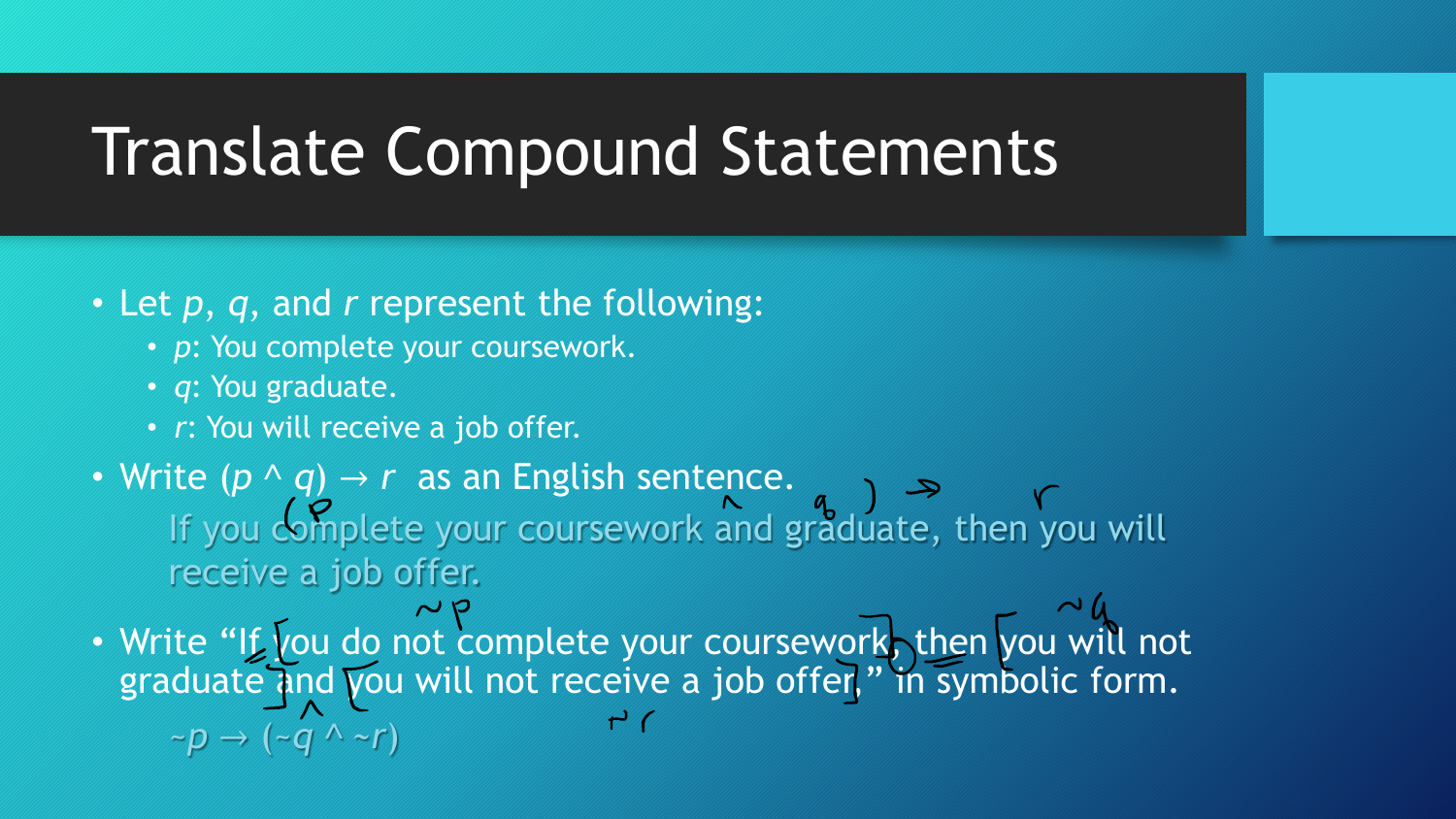#### Translate Compound Statements

#### • Let *p*, *q*, and *r* represent the following:

- *p*: You complete your coursework.
- *q*: You graduate.
- *r*: You will receive a job offer.
- Write  $(p \wedge q) \rightarrow r$  as an English sentence. If you complete your coursework and graduate, then you will receive a job offer.

• Write "If you do not complete your coursework, then you will not graduate and you will not receive a job offer," in symbolic form.  $\sim p \rightarrow (\sim q \land \sim r)$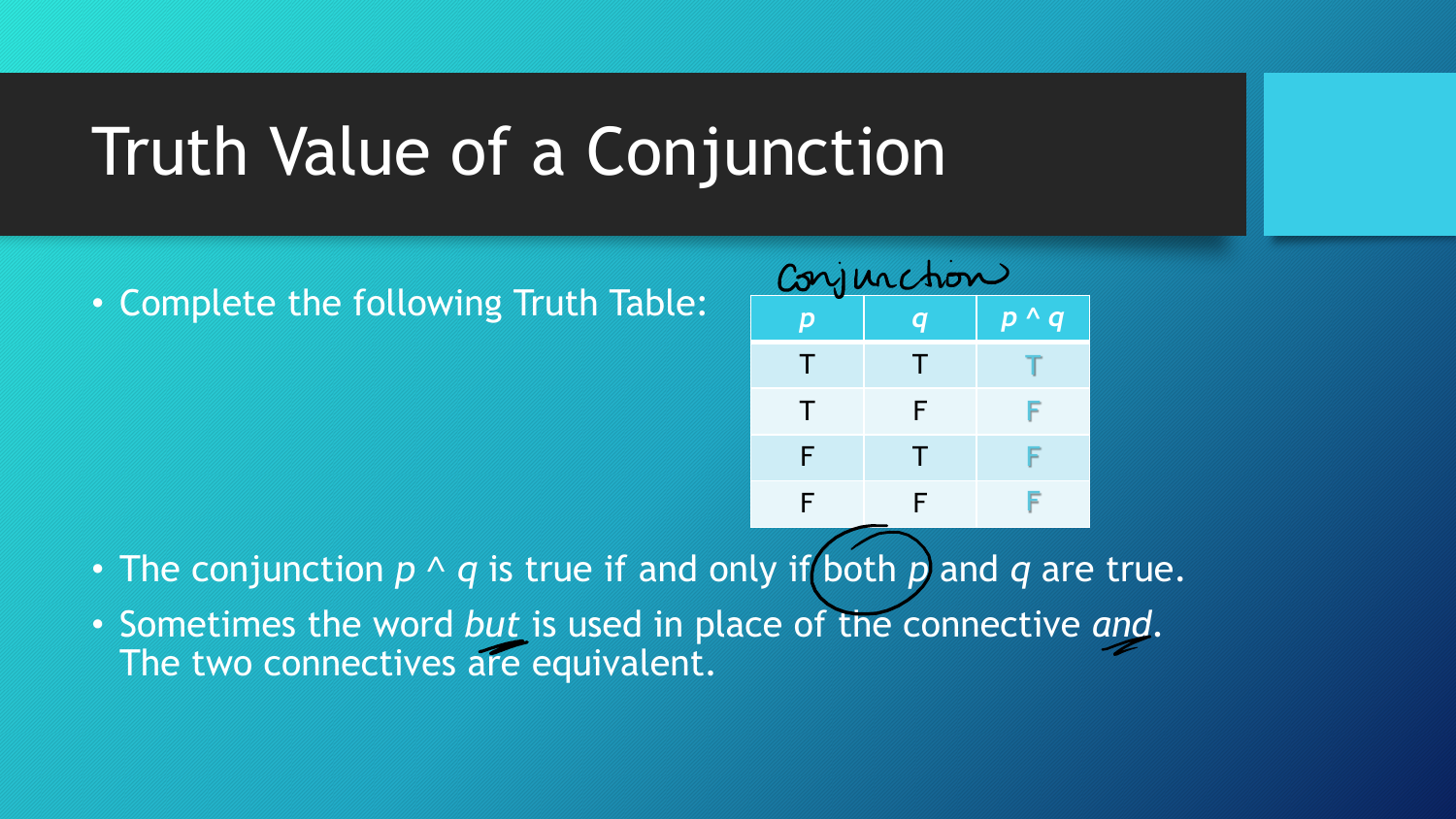## Truth Value of a Conjunction

• Complete the following Truth Table:



- The conjunction  $p \wedge q$  is true if and only if both p and q are true.
- Sometimes the word *but* is used in place of the connective *and*. The two connectives are equivalent.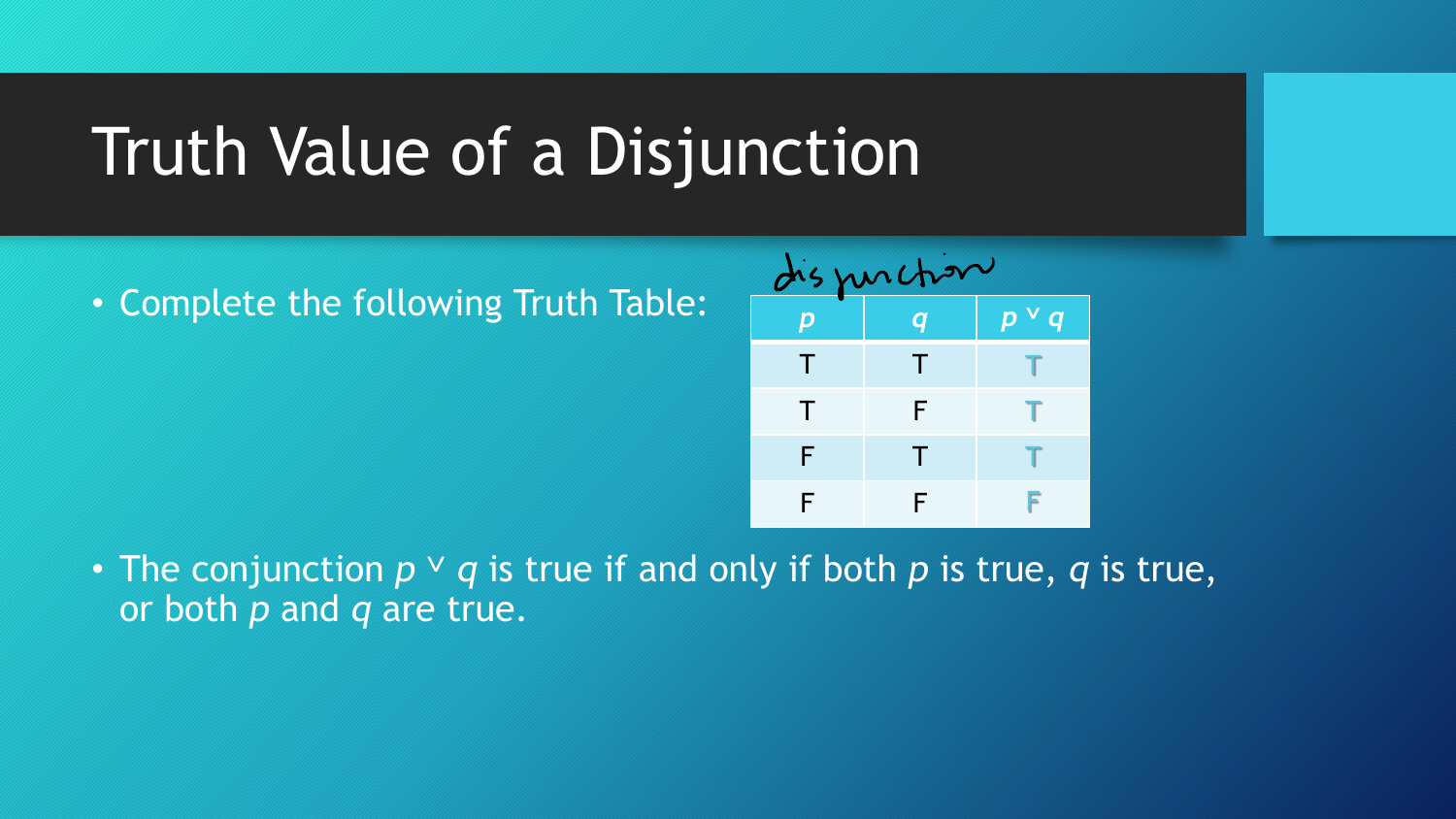## Truth Value of a Disjunction

• Complete the following Truth Table:



• The conjunction  $p \vee q$  is true if and only if both p is true, q is true, or both *p* and *q* are true.